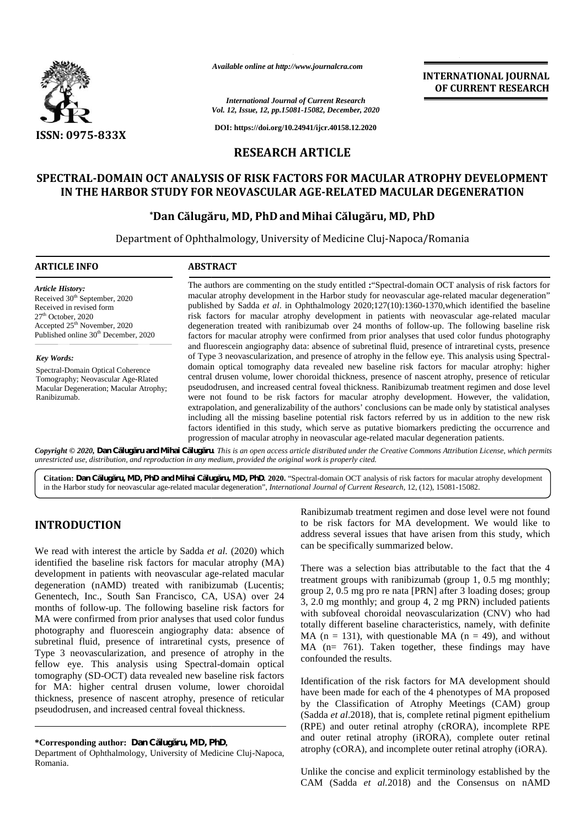

*Available online at http://www.journalcra.com*

*International Journal of Current Research Vol. 12, Issue, 12, pp.15081-15082, December, 2020* International Journal of Current Research<br>
Vol. 12, Issue, 12, pp.15081-15082, December, 2020<br>
DOI: https://doi.org/10.24941/ijcr.40158.12.2020

**DOI: https://doi.org/10.24941/ijcr.40158.12.2020**

### **RESEARCH ARTICLE**

# **SPECTRAL-DOMAIN OCT ANALYSIS OF RISK FACTORS FOR MACULAR ATROPHY DEVELOPMENT IN THE HARBOR STUDY FOR NEOVASCULAR AGE-RELATED MACULAR DEGENERATION** IS OF RISK FACTORS FOR MACULAR ATROPHY DEVELOPMENT<br>NEOVASCULAR AGE-RELATED MACULAR DEGENERATION<br>ru, MD, PhD and Mihai Călugăru, MD, PhD

### **\*Dan Călugăru, MD, PhD and Mihai Călugăru, MD, PhD**

Department of Ophthalmology, University of Medicine Cluj-Napoca/Romania

### **ARTICLE INFO ABSTRACT ARTICLE ABSTRACT**

*Article History:* Received 30<sup>th</sup> September, 2020 Received in revised form 27<sup>th</sup> October, 2020 Accepted 25<sup>th</sup> November, 2020 Published online 30<sup>th</sup> December, 2020

*Key Words:* Spectral-Domain Optical Coherence Tomography; Neovascular Age-Rlated Macular Degeneration; Macular Atrophy; Ranibizumab.

The authors are commenting on the study entitled **:**"Spectral-domain OCT analysis of risk factors for The authors are commenting on the study entitled : "Spectral-domain OCT analysis of risk factors for macular atrophy development in the Harbor study for neovascular age-related macular degeneration" published by Sadda *et al*. in Ophthalmology 2020;127(10):1360-1370,which identified the baseline risk factors for macular atrophy development in patients with neovascular age-related macular degeneration treated with ranibizumab over 24 months of follow-up. The following baseline risk factors for macular atrophy were confirmed from prior analyses that used color fundus photography and fluorescein angiography data: absence of subretinal fluid, presence of intraretinal cysts, presence of Type 3 neovascularization, and presence of atrophy in the fellow eye. This analysis using Spectral domain optical tomography data revealed new baseline risk factors for macular atrophy: higher central drusen volume, lower choroidal thickness, presence of nascent atrophy, presence of reticular pseudodrusen, and increased central foveal thickness. Ranibizumab treatment regimen and dose level were not found to be risk factors for macular atrophy development. However, the validation, extrapolation, and generalizability of the authors' conclusions can be made only by statistical analyses and fluorescein angiography data: absence of subretinal fluid, presence of intraretinal cysts, presence of Type 3 neovascularization, and presence of atrophy in the fellow eye. This analysis using Spectral-domain optical t factors identified in this study, which serve as putative biomarkers predicting the occurrence and progression of macular atrophy in neovascular age-related macular degeneration patients. published by Sadda *et al.* in Ophthalmology 2020;127(10):1360-1370, which identified the baseline risk factors for macular atrophy development in patients with neovascular age-related macular degeneration treated with ran including all the missing baseline potential risk factors referred by us in addition<br>factors identified in this study, which serve as putative biomarkers predicting the<br>progression of macular atrophy in neovascular age-rel A vanished emilited analysis representation:<br>
Comparison and Mihai Citation:<br>
Cole Distribute (2.19 plane 2.49 plane 2.49 plane 2.49 plane 2.49 plane 2.49 plane 2.49 plane 2.49 plane 2.49 plane 2.49 and Allen Michain PhD **Fracta Energy Controllers (The Controllers Controllers (The Controllers Controllers Controllers (The Controllers Controllers (The Controllers Controllers (The Controllers Controllers (The Controllers Controllers Controll** 

Copyright © 2020, Dan C lug ru and Mihai C lug ru. This is an open access article distributed under the Creative Commons Attribution License, which permits **Copyright © 2020, Dan C lug ru and Mihai C lug ru.** This is an open access article distributed under the Cre<br>unrestricted use, distribution, and reproduction in any medium, provided the original work is properly cited.

Citation: Dan C lug ru, MD, PhD and Mihai C lug ru, MD, PhD. 2020. "Spectral-domain OCT analysis of risk factors for macular atrophy development in the Harbor study for neovascular age-related macular degeneration", *International Journal of Current Research*, 12, (12), 15081-15082.

# **INTRODUCTION INTRODUCTION**

We read with interest the article by Sadda *et al.* (2020) which identified the baseline risk factors for macular atrophy  $(MA)$ development in patients with neovascular age-related macular degeneration  $(nAMD)$  treated with ranibizumab (Lucentis; Genentech, Inc., South San Francisco, CA, USA) over 24 Genentech, Inc., South San Francisco, CA, USA) over 24  $\frac{54}{3}$ , months of follow-up. The following baseline risk factors for MA were confirmed from prior analyses that used color fundus photography and fluorescein angiography data: absence of subretinal fluid, presence of intraretinal cysts, presence of Type 3 neovascularization, and presence of atrophy in the fellow eye. This analysis using Spectral-domain optical tomography (SD-OCT) data revealed new baseline risk factors for MA: higher central drusen volume, lower choroidal fellow eye. This analysis using Spectral-domain optical<br>tomography (SD-OCT) data revealed new baseline risk factors<br>for MA: higher central drusen volume, lower choroidal<br>thickness, presence of nascent atrophy, presence of pseudodrusen, and increased central foveal thickness. MA were confirmed from prior analyses that used color fundus<br>photography and fluorescein angiography data: absence of<br>subretinal fluid, presence of intraretinal cysts, presence of<br>Type 3 neovascularization, and presence of **INTRODUCTION**<br>
Ramibizumah treatment regimen and dose level were not found<br>
we read with interest the article by Sadda et al. (2020) which<br>
and he specifically summarized below.<br>
We read with interest the article by Sadd

### **\*Corresponding author: Dan Călugăru, MD, PhD, \*Corresponding MD, PhD,**

Department of Ophthalmology, University of Medicine Cluj-Napoca, Romania.

Ranibizumab treatment regimen and dose level were not found to be risk factors for MA development. We would like to address several issues that have arisen from this study, which can be specifically summarized below.

**INTERNATIONAL JOURNAL OF CURRENT RESEARCH**

There was a selection bias attributable to the fact that the 4 treatment groups with ranibizumab (group 1, 0.5 mg monthly; group 2, 0.5 mg pro re nata [PRN] after 3 loading doses; group 3, 2.0 mg monthly; and group 4, 2 mg PRN) included patients with subfoveal choroidal neovascularization (CNV) who had totally different baseline characteristics, namely, with definite MA ( $n = 131$ ), with questionable MA ( $n = 49$ ), and without MA (n= 761). Taken together, these findings may have confounded the results. address several issues that have arisen from this study, which<br>can be specifically summarized below.<br>There was a selection bias attributable to the fact that the 4<br>treatment groups with ranibizumab (group 1, 0.5 mg monthl

Identification of the risk factors for MA development should have been made for each of the 4 phenotypes of MA proposed have been made for each of the 4 phenotypes of MA proposed<br>by the Classification of Atrophy Meetings (CAM) group (Sadda *et al.*2018), that is, complete retinal pigment epithelium (RPE) and outer retinal atrophy (cRORA), incomplete RPE and outer retinal atrophy (iRORA), complete outer retinal atrophy (cORA), and incomplete outer retinal atrophy (iORA).

Unlike the concise and explicit terminology established by the Unlike the concise and explicit terminology established by the CAM (Sadda *et al.*2018) and the Consensus on nAMD